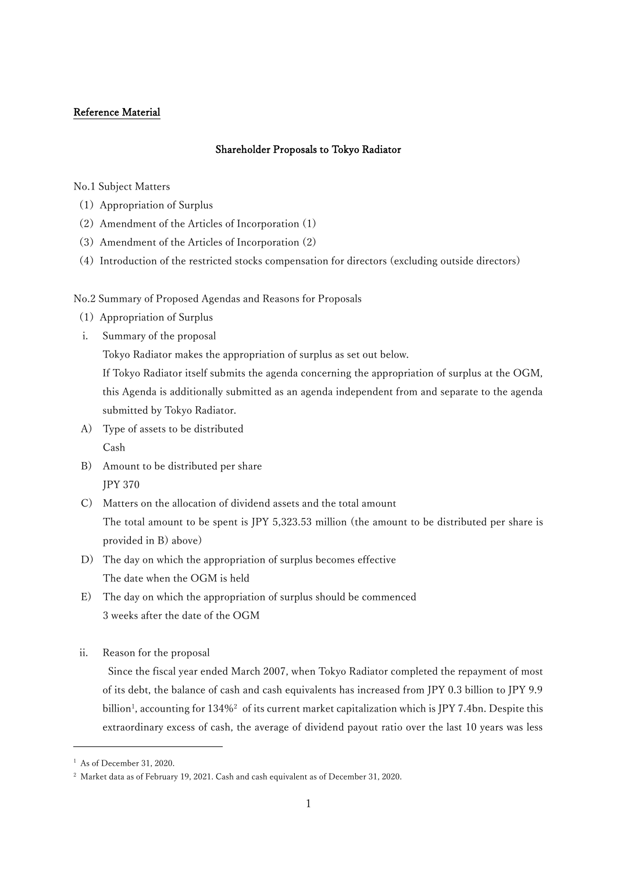# Reference Material

# Shareholder Proposals to Tokyo Radiator

No.1 Subject Matters

- (1)Appropriation of Surplus
- (2)Amendment of the Articles of Incorporation (1)
- (3)Amendment of the Articles of Incorporation (2)
- (4)Introduction of the restricted stocks compensation for directors (excluding outside directors)

No.2 Summary of Proposed Agendas and Reasons for Proposals

- (1)Appropriation of Surplus
- i. Summary of the proposal

Tokyo Radiator makes the appropriation of surplus as set out below.

If Tokyo Radiator itself submits the agenda concerning the appropriation of surplus at the OGM, this Agenda is additionally submitted as an agenda independent from and separate to the agenda submitted by Tokyo Radiator.

- A) Type of assets to be distributed Cash
- B) Amount to be distributed per share JPY 370
- C) Matters on the allocation of dividend assets and the total amount The total amount to be spent is JPY 5,323.53 million (the amount to be distributed per share is provided in B) above)
- D) The day on which the appropriation of surplus becomes effective The date when the OGM is held
- E) The day on which the appropriation of surplus should be commenced 3 weeks after the date of the OGM
- ii. Reason for the proposal

Since the fiscal year ended March 2007, when Tokyo Radiator completed the repayment of most of its debt, the balance of cash and cash equivalents has increased from JPY 0.3 billion to JPY 9.9 billion<sup>1</sup>, accounting for  $134\%$ <sup>2</sup> of its current market capitalization which is JPY 7.4bn. Despite this extraordinary excess of cash, the average of dividend payout ratio over the last 10 years was less

<sup>1</sup> As of December 31, 2020.

<sup>&</sup>lt;sup>2</sup> Market data as of February 19, 2021. Cash and cash equivalent as of December 31, 2020.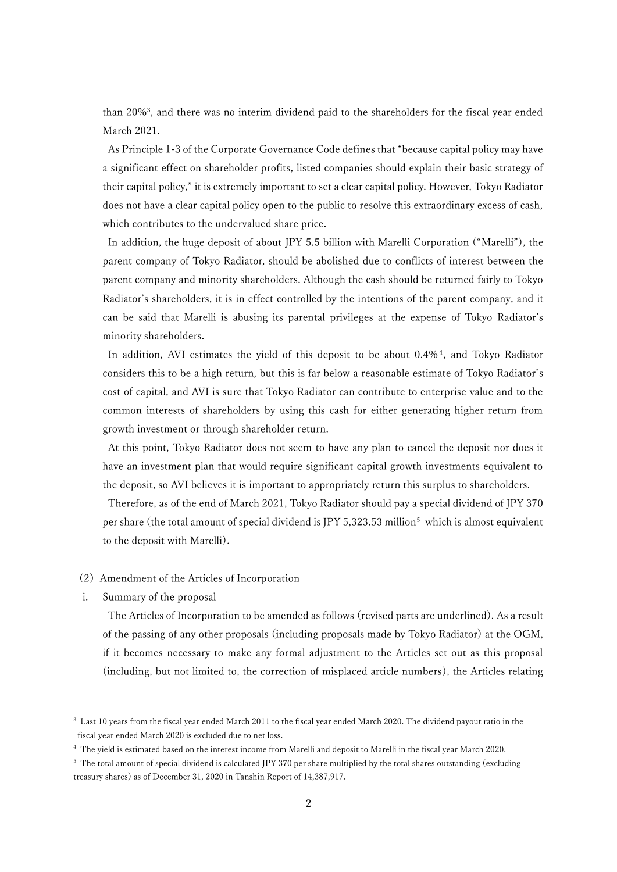than 20%<sup>3</sup> , and there was no interim dividend paid to the shareholders for the fiscal year ended March 2021.

As Principle 1-3 of the Corporate Governance Code defines that "because capital policy may have a significant effect on shareholder profits, listed companies should explain their basic strategy of their capital policy," it is extremely important to set a clear capital policy. However, Tokyo Radiator does not have a clear capital policy open to the public to resolve this extraordinary excess of cash, which contributes to the undervalued share price.

In addition, the huge deposit of about JPY 5.5 billion with Marelli Corporation ("Marelli"), the parent company of Tokyo Radiator, should be abolished due to conflicts of interest between the parent company and minority shareholders. Although the cash should be returned fairly to Tokyo Radiator's shareholders, it is in effect controlled by the intentions of the parent company, and it can be said that Marelli is abusing its parental privileges at the expense of Tokyo Radiator's minority shareholders.

In addition, AVI estimates the yield of this deposit to be about  $0.4\%$ <sup>4</sup>, and Tokyo Radiator considers this to be a high return, but this is far below a reasonable estimate of Tokyo Radiator's cost of capital, and AVI is sure that Tokyo Radiator can contribute to enterprise value and to the common interests of shareholders by using this cash for either generating higher return from growth investment or through shareholder return.

At this point, Tokyo Radiator does not seem to have any plan to cancel the deposit nor does it have an investment plan that would require significant capital growth investments equivalent to the deposit, so AVI believes it is important to appropriately return this surplus to shareholders.

Therefore, as of the end of March 2021, Tokyo Radiator should pay a special dividend of JPY 370 per share (the total amount of special dividend is JPY 5,323.53 million<sup>5</sup> which is almost equivalent to the deposit with Marelli).

## (2)Amendment of the Articles of Incorporation

i. Summary of the proposal

The Articles of Incorporation to be amended as follows (revised parts are underlined). As a result of the passing of any other proposals (including proposals made by Tokyo Radiator) at the OGM, if it becomes necessary to make any formal adjustment to the Articles set out as this proposal (including, but not limited to, the correction of misplaced article numbers), the Articles relating

<sup>3</sup> Last 10 years from the fiscal year ended March 2011 to the fiscal year ended March 2020. The dividend payout ratio in the fiscal year ended March 2020 is excluded due to net loss.

<sup>4</sup> The yield is estimated based on the interest income from Marelli and deposit to Marelli in the fiscal year March 2020.

<sup>&</sup>lt;sup>5</sup> The total amount of special dividend is calculated JPY 370 per share multiplied by the total shares outstanding (excluding treasury shares) as of December 31, 2020 in Tanshin Report of 14,387,917.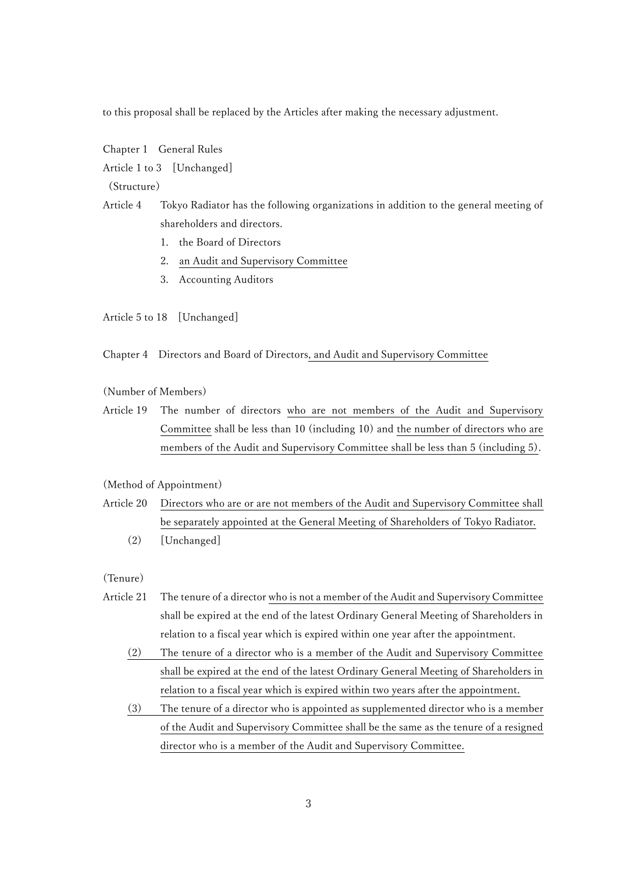to this proposal shall be replaced by the Articles after making the necessary adjustment.

Chapter 1 General Rules

Article 1 to 3 [Unchanged]

(Structure)

Article 4 Tokyo Radiator has the following organizations in addition to the general meeting of shareholders and directors.

- 1. the Board of Directors
- 2. an Audit and Supervisory Committee
- 3. Accounting Auditors

Article 5 to 18 [Unchanged]

Chapter 4 Directors and Board of Directors, and Audit and Supervisory Committee

(Number of Members)

Article 19 The number of directors who are not members of the Audit and Supervisory Committee shall be less than 10 (including 10) and the number of directors who are members of the Audit and Supervisory Committee shall be less than 5 (including 5).

# (Method of Appointment)

- Article 20 Directors who are or are not members of the Audit and Supervisory Committee shall be separately appointed at the General Meeting of Shareholders of Tokyo Radiator.
	- (2) [Unchanged]

(Tenure)

- Article 21 The tenure of a director who is not a member of the Audit and Supervisory Committee shall be expired at the end of the latest Ordinary General Meeting of Shareholders in relation to a fiscal year which is expired within one year after the appointment.
	- (2) The tenure of a director who is a member of the Audit and Supervisory Committee shall be expired at the end of the latest Ordinary General Meeting of Shareholders in relation to a fiscal year which is expired within two years after the appointment.
	- (3) The tenure of a director who is appointed as supplemented director who is a member of the Audit and Supervisory Committee shall be the same as the tenure of a resigned director who is a member of the Audit and Supervisory Committee.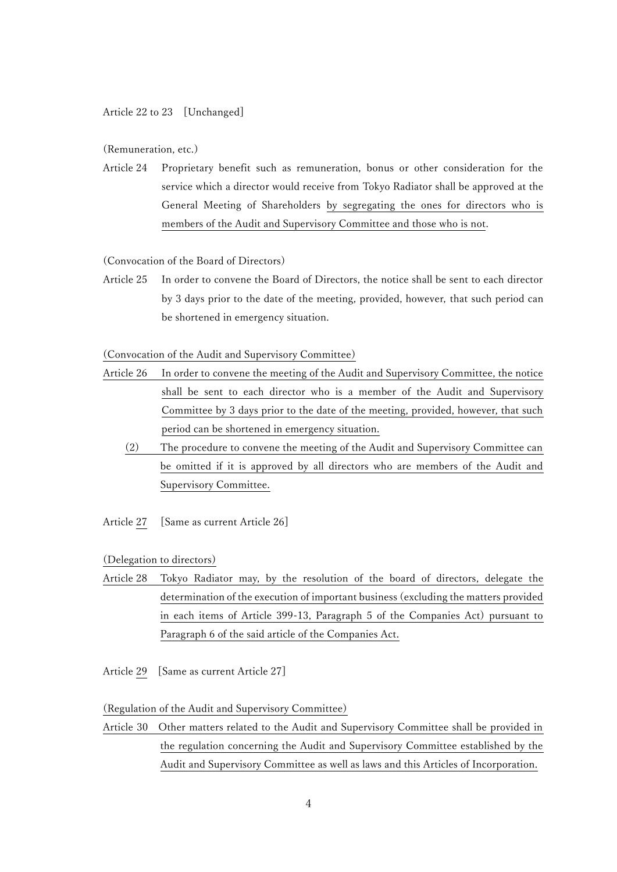Article 22 to 23 [Unchanged]

(Remuneration, etc.)

Article 24 Proprietary benefit such as remuneration, bonus or other consideration for the service which a director would receive from Tokyo Radiator shall be approved at the General Meeting of Shareholders by segregating the ones for directors who is members of the Audit and Supervisory Committee and those who is not.

### (Convocation of the Board of Directors)

Article 25 In order to convene the Board of Directors, the notice shall be sent to each director by 3 days prior to the date of the meeting, provided, however, that such period can be shortened in emergency situation.

#### (Convocation of the Audit and Supervisory Committee)

- Article 26 In order to convene the meeting of the Audit and Supervisory Committee, the notice shall be sent to each director who is a member of the Audit and Supervisory Committee by 3 days prior to the date of the meeting, provided, however, that such period can be shortened in emergency situation.
	- (2) The procedure to convene the meeting of the Audit and Supervisory Committee can be omitted if it is approved by all directors who are members of the Audit and Supervisory Committee.
- Article 27 [Same as current Article 26]

(Delegation to directors)

- Article 28 Tokyo Radiator may, by the resolution of the board of directors, delegate the determination of the execution of important business (excluding the matters provided in each items of Article 399-13, Paragraph 5 of the Companies Act) pursuant to Paragraph 6 of the said article of the Companies Act.
- Article 29 [Same as current Article 27]

(Regulation of the Audit and Supervisory Committee)

Article 30 Other matters related to the Audit and Supervisory Committee shall be provided in the regulation concerning the Audit and Supervisory Committee established by the Audit and Supervisory Committee as well as laws and this Articles of Incorporation.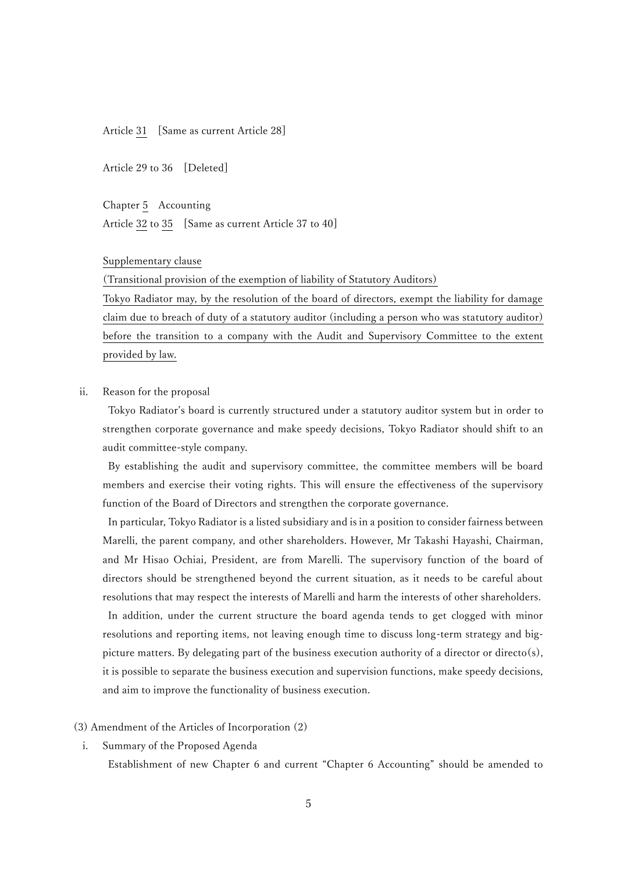Article 31 [Same as current Article 28]

Article 29 to 36 [Deleted]

Chapter 5 Accounting

Article 32 to 35 [Same as current Article 37 to 40]

Supplementary clause

(Transitional provision of the exemption of liability of Statutory Auditors)

Tokyo Radiator may, by the resolution of the board of directors, exempt the liability for damage claim due to breach of duty of a statutory auditor (including a person who was statutory auditor) before the transition to a company with the Audit and Supervisory Committee to the extent provided by law.

ii. Reason for the proposal

Tokyo Radiator's board is currently structured under a statutory auditor system but in order to strengthen corporate governance and make speedy decisions, Tokyo Radiator should shift to an audit committee-style company.

By establishing the audit and supervisory committee, the committee members will be board members and exercise their voting rights. This will ensure the effectiveness of the supervisory function of the Board of Directors and strengthen the corporate governance.

In particular, Tokyo Radiator is a listed subsidiary and is in a position to consider fairness between Marelli, the parent company, and other shareholders. However, Mr Takashi Hayashi, Chairman, and Mr Hisao Ochiai, President, are from Marelli. The supervisory function of the board of directors should be strengthened beyond the current situation, as it needs to be careful about resolutions that may respect the interests of Marelli and harm the interests of other shareholders. In addition, under the current structure the board agenda tends to get clogged with minor resolutions and reporting items, not leaving enough time to discuss long-term strategy and bigpicture matters. By delegating part of the business execution authority of a director or directo(s), it is possible to separate the business execution and supervision functions, make speedy decisions, and aim to improve the functionality of business execution.

#### (3) Amendment of the Articles of Incorporation (2)

i. Summary of the Proposed Agenda

Establishment of new Chapter 6 and current "Chapter 6 Accounting" should be amended to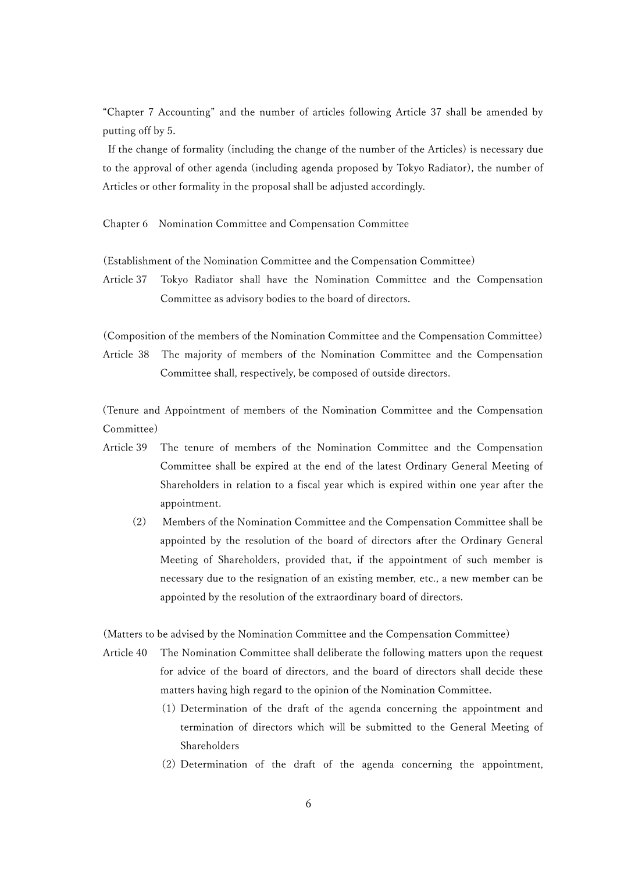"Chapter 7 Accounting" and the number of articles following Article 37 shall be amended by putting off by 5.

If the change of formality (including the change of the number of the Articles) is necessary due to the approval of other agenda (including agenda proposed by Tokyo Radiator), the number of Articles or other formality in the proposal shall be adjusted accordingly.

Chapter 6 Nomination Committee and Compensation Committee

(Establishment of the Nomination Committee and the Compensation Committee)

Article 37 Tokyo Radiator shall have the Nomination Committee and the Compensation Committee as advisory bodies to the board of directors.

(Composition of the members of the Nomination Committee and the Compensation Committee) Article 38 The majority of members of the Nomination Committee and the Compensation Committee shall, respectively, be composed of outside directors.

(Tenure and Appointment of members of the Nomination Committee and the Compensation Committee)

- Article 39 The tenure of members of the Nomination Committee and the Compensation Committee shall be expired at the end of the latest Ordinary General Meeting of Shareholders in relation to a fiscal year which is expired within one year after the appointment.
	- (2) Members of the Nomination Committee and the Compensation Committee shall be appointed by the resolution of the board of directors after the Ordinary General Meeting of Shareholders, provided that, if the appointment of such member is necessary due to the resignation of an existing member, etc., a new member can be appointed by the resolution of the extraordinary board of directors.

(Matters to be advised by the Nomination Committee and the Compensation Committee)

- Article 40 The Nomination Committee shall deliberate the following matters upon the request for advice of the board of directors, and the board of directors shall decide these matters having high regard to the opinion of the Nomination Committee.
	- (1) Determination of the draft of the agenda concerning the appointment and termination of directors which will be submitted to the General Meeting of Shareholders
	- (2) Determination of the draft of the agenda concerning the appointment,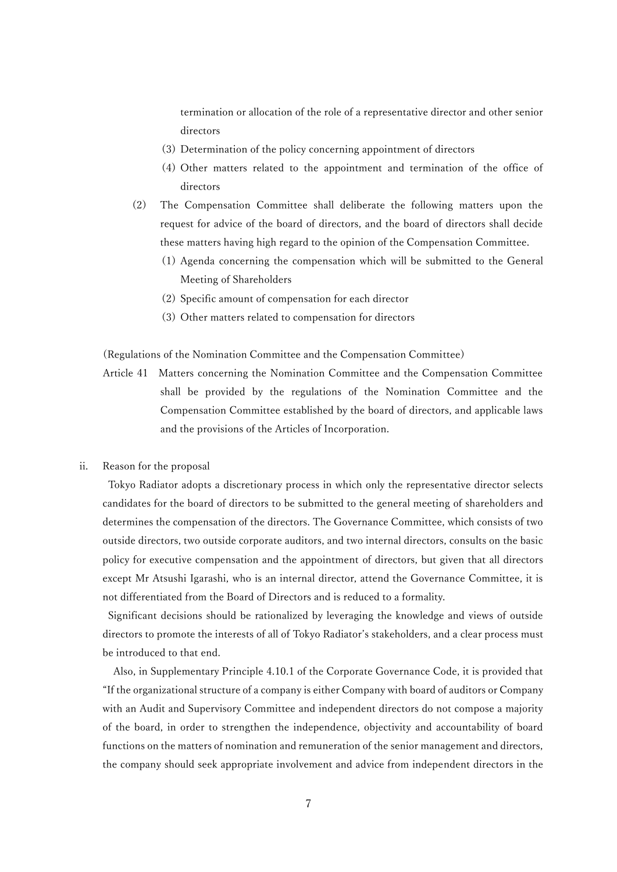termination or allocation of the role of a representative director and other senior directors

- (3) Determination of the policy concerning appointment of directors
- (4) Other matters related to the appointment and termination of the office of directors
- (2) The Compensation Committee shall deliberate the following matters upon the request for advice of the board of directors, and the board of directors shall decide these matters having high regard to the opinion of the Compensation Committee.
	- (1) Agenda concerning the compensation which will be submitted to the General Meeting of Shareholders
	- (2) Specific amount of compensation for each director
	- (3) Other matters related to compensation for directors

(Regulations of the Nomination Committee and the Compensation Committee)

- Article 41 Matters concerning the Nomination Committee and the Compensation Committee shall be provided by the regulations of the Nomination Committee and the Compensation Committee established by the board of directors, and applicable laws and the provisions of the Articles of Incorporation.
- ii. Reason for the proposal

Tokyo Radiator adopts a discretionary process in which only the representative director selects candidates for the board of directors to be submitted to the general meeting of shareholders and determines the compensation of the directors. The Governance Committee, which consists of two outside directors, two outside corporate auditors, and two internal directors, consults on the basic policy for executive compensation and the appointment of directors, but given that all directors except Mr Atsushi Igarashi, who is an internal director, attend the Governance Committee, it is not differentiated from the Board of Directors and is reduced to a formality.

Significant decisions should be rationalized by leveraging the knowledge and views of outside directors to promote the interests of all of Tokyo Radiator's stakeholders, and a clear process must be introduced to that end.

Also, in Supplementary Principle 4.10.1 of the Corporate Governance Code, it is provided that "If the organizational structure of a company is either Company with board of auditors or Company with an Audit and Supervisory Committee and independent directors do not compose a majority of the board, in order to strengthen the independence, objectivity and accountability of board functions on the matters of nomination and remuneration of the senior management and directors, the company should seek appropriate involvement and advice from independent directors in the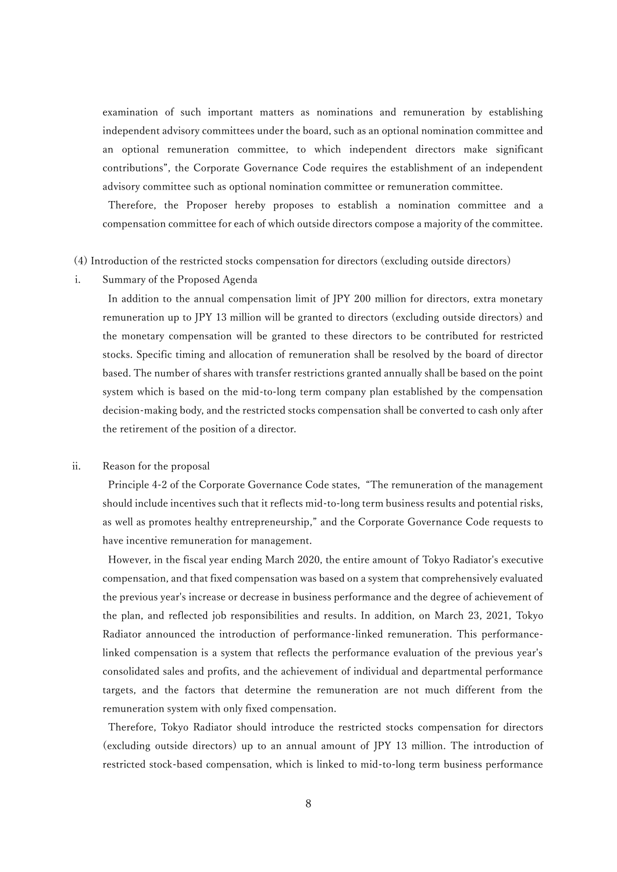examination of such important matters as nominations and remuneration by establishing independent advisory committees under the board, such as an optional nomination committee and an optional remuneration committee, to which independent directors make significant contributions", the Corporate Governance Code requires the establishment of an independent advisory committee such as optional nomination committee or remuneration committee.

Therefore, the Proposer hereby proposes to establish a nomination committee and a compensation committee for each of which outside directors compose a majority of the committee.

#### (4) Introduction of the restricted stocks compensation for directors (excluding outside directors)

i. Summary of the Proposed Agenda

In addition to the annual compensation limit of JPY 200 million for directors, extra monetary remuneration up to JPY 13 million will be granted to directors (excluding outside directors) and the monetary compensation will be granted to these directors to be contributed for restricted stocks. Specific timing and allocation of remuneration shall be resolved by the board of director based. The number of shares with transfer restrictions granted annually shall be based on the point system which is based on the mid-to-long term company plan established by the compensation decision-making body, and the restricted stocks compensation shall be converted to cash only after the retirement of the position of a director.

### ii. Reason for the proposal

Principle 4-2 of the Corporate Governance Code states, "The remuneration of the management should include incentives such that it reflects mid-to-long term business results and potential risks, as well as promotes healthy entrepreneurship," and the Corporate Governance Code requests to have incentive remuneration for management.

However, in the fiscal year ending March 2020, the entire amount of Tokyo Radiator's executive compensation, and that fixed compensation was based on a system that comprehensively evaluated the previous year's increase or decrease in business performance and the degree of achievement of the plan, and reflected job responsibilities and results. In addition, on March 23, 2021, Tokyo Radiator announced the introduction of performance-linked remuneration. This performancelinked compensation is a system that reflects the performance evaluation of the previous year's consolidated sales and profits, and the achievement of individual and departmental performance targets, and the factors that determine the remuneration are not much different from the remuneration system with only fixed compensation.

Therefore, Tokyo Radiator should introduce the restricted stocks compensation for directors (excluding outside directors) up to an annual amount of JPY 13 million. The introduction of restricted stock-based compensation, which is linked to mid-to-long term business performance